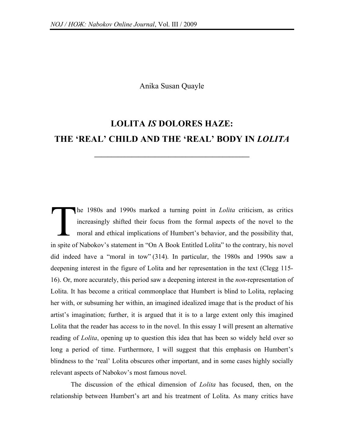## Anika Susan Quayle

## **LOLITA** *IS* **DOLORES HAZE: THE 'REAL' CHILD AND THE 'REAL' BODY IN** *LOLITA*

**\_\_\_\_\_\_\_\_\_\_\_\_\_\_\_\_\_\_\_\_\_\_\_\_\_\_\_\_\_\_\_\_\_\_\_\_\_\_\_\_\_\_\_\_\_\_**

he 1980s and 1990s marked a turning point in *Lolita* criticism, as critics increasingly shifted their focus from the formal aspects of the novel to the moral and ethical implications of Humbert's behavior, and the possibility that, in spite of Nabokov's statement in "On A Book Entitled Lolita" to the contrary, his novel did indeed have a "moral in tow" (314). In particular, the 1980s and 1990s saw a deepening interest in the figure of Lolita and her representation in the text (Clegg 115- 16). Or, more accurately, this period saw a deepening interest in the *non*-representation of Lolita. It has become a critical commonplace that Humbert is blind to Lolita, replacing her with, or subsuming her within, an imagined idealized image that is the product of his artist's imagination; further, it is argued that it is to a large extent only this imagined Lolita that the reader has access to in the novel. In this essay I will present an alternative reading of *Lolita*, opening up to question this idea that has been so widely held over so long a period of time. Furthermore, I will suggest that this emphasis on Humbert's blindness to the 'real' Lolita obscures other important, and in some cases highly socially relevant aspects of Nabokov's most famous novel. T

The discussion of the ethical dimension of *Lolita* has focused, then, on the relationship between Humbert's art and his treatment of Lolita. As many critics have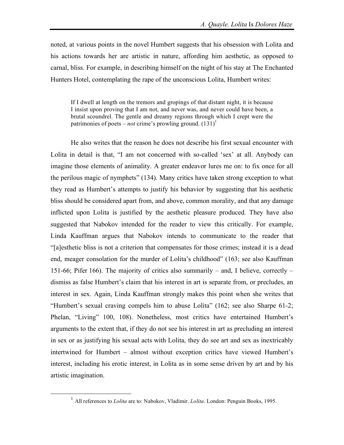noted, at various points in the novel Humbert suggests that his obsession with Lolita and his actions towards her are artistic in nature, affording him aesthetic, as opposed to carnal, bliss. For example, in describing himself on the night of his stay at The Enchanted Hunters Hotel, contemplating the rape of the unconscious Lolita, Humbert writes:

If I dwell at length on the tremors and gropings of that distant night, it is because I insist upon proving that I am not, and never was, and never could have been, a brutal scoundrel. The gentle and dreamy regions through which I crept were the patrimonies of poets – *not* crime's prowling ground.  $(131)^1$ 

He also writes that the reason he does not describe his first sexual encounter with Lolita in detail is that, "I am not concerned with so-called 'sex' at all. Anybody can imagine those elements of animality. A greater endeavor lures me on: to fix once for all the perilous magic of nymphets" (134). Many critics have taken strong exception to what they read as Humbert's attempts to justify his behavior by suggesting that his aesthetic bliss should be considered apart from, and above, common morality, and that any damage inflicted upon Lolita is justified by the aesthetic pleasure produced. They have also suggested that Nabokov intended for the reader to view this critically. For example, Linda Kauffman argues that Nabokov intends to communicate to the reader that "[a]esthetic bliss is not a criterion that compensates for those crimes; instead it is a dead end, meager consolation for the murder of Lolita's childhood" (163; see also Kauffman 151-66; Pifer 166). The majority of critics also summarily – and, I believe, correctly – dismiss as false Humbert's claim that his interest in art is separate from, or precludes, an interest in sex. Again, Linda Kauffman strongly makes this point when she writes that "Humbert's sexual craving compels him to abuse Lolita" (162; see also Sharpe 61-2; Phelan, "Living" 100, 108). Nonetheless, most critics have entertained Humbert's arguments to the extent that, if they do not see his interest in art as precluding an interest in sex or as justifying his sexual acts with Lolita, they do see art and sex as inextricably intertwined for Humbert – almost without exception critics have viewed Humbert's interest, including his erotic interest, in Lolita as in some sense driven by art and by his artistic imagination.

 <sup>1</sup> All references to *Lolita* are to: Nabokov, Vladimir. *Lolita*. London: Penguin Books, 1995.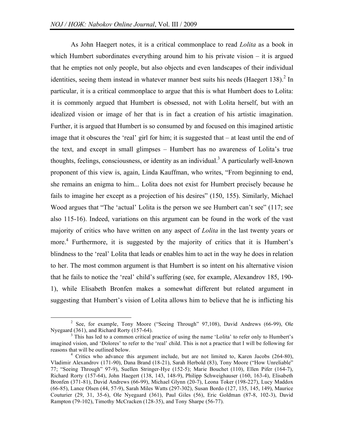As John Haegert notes, it is a critical commonplace to read *Lolita* as a book in which Humbert subordinates everything around him to his private vision – it is argued that he empties not only people, but also objects and even landscapes of their individual identities, seeing them instead in whatever manner best suits his needs (Haegert 138).<sup>2</sup> In particular, it is a critical commonplace to argue that this is what Humbert does to Lolita: it is commonly argued that Humbert is obsessed, not with Lolita herself, but with an idealized vision or image of her that is in fact a creation of his artistic imagination. Further, it is argued that Humbert is so consumed by and focused on this imagined artistic image that it obscures the 'real' girl for him; it is suggested that  $-$  at least until the end of the text, and except in small glimpses – Humbert has no awareness of Lolita's true thoughts, feelings, consciousness, or identity as an individual.<sup>3</sup> A particularly well-known proponent of this view is, again, Linda Kauffman, who writes, "From beginning to end, she remains an enigma to him... Lolita does not exist for Humbert precisely because he fails to imagine her except as a projection of his desires" (150, 155). Similarly, Michael Wood argues that "The 'actual' Lolita is the person we see Humbert can't see" (117; see also 115-16). Indeed, variations on this argument can be found in the work of the vast majority of critics who have written on any aspect of *Lolita* in the last twenty years or more. <sup>4</sup> Furthermore, it is suggested by the majority of critics that it is Humbert's blindness to the 'real' Lolita that leads or enables him to act in the way he does in relation to her. The most common argument is that Humbert is so intent on his alternative vision that he fails to notice the 'real' child's suffering (see, for example, Alexandrov 185, 190- 1), while Elisabeth Bronfen makes a somewhat different but related argument in suggesting that Humbert's vision of Lolita allows him to believe that he is inflicting his

<sup>&</sup>lt;sup>2</sup> See, for example, Tony Moore ("Seeing Through" 97,108), David Andrews (66-99), Ole Nyegaard (361), and Richard Rorty (157-64).

 $3$  This has led to a common critical practice of using the name 'Lolita' to refer only to Humbert's imagined vision, and 'Dolores' to refer to the 'real' child. This is not a practice that I will be following for reasons that will be outlined below. <sup>4</sup> Critics who advance this argument include, but are not limited to, Karen Jacobs (264-80),

Vladimir Alexandrov (171-90), Dana Brand (18-21), Sarah Herbold (83), Tony Moore ("How Unreliable" 77; "Seeing Through" 97-9), Suellen Stringer-Hye (152-5); Marie Bouchet (110), Ellen Pifer (164-7), Richard Rorty (157-64), John Haegert (138, 143, 148-9), Philipp Schweighauser (160, 163-4), Elisabeth Bronfen (371-81), David Andrews (66-99), Michael Glynn (20-7), Leona Toker (198-227), Lucy Maddox (66-85), Lance Olsen (44, 57-9), Sarah Miles Watts (297-302), Susan Bordo (127, 135, 145, 149), Maurice Couturier (29, 31, 35-6), Ole Nyegaard (361), Paul Giles (56), Eric Goldman (87-8, 102-3), David Rampton (79-102), Timothy McCracken (128-35), and Tony Sharpe (56-77).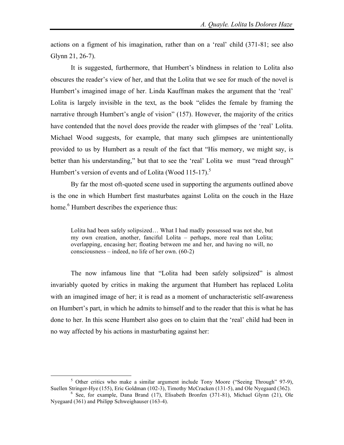actions on a figment of his imagination, rather than on a 'real' child (371-81; see also Glynn 21, 26-7).

It is suggested, furthermore, that Humbert's blindness in relation to Lolita also obscures the reader's view of her, and that the Lolita that we see for much of the novel is Humbert's imagined image of her. Linda Kauffman makes the argument that the 'real' Lolita is largely invisible in the text, as the book "elides the female by framing the narrative through Humbert's angle of vision" (157). However, the majority of the critics have contended that the novel does provide the reader with glimpses of the 'real' Lolita. Michael Wood suggests, for example, that many such glimpses are unintentionally provided to us by Humbert as a result of the fact that "His memory, we might say, is better than his understanding," but that to see the 'real' Lolita we must "read through" Humbert's version of events and of Lolita (Wood 115-17).<sup>5</sup>

By far the most oft-quoted scene used in supporting the arguments outlined above is the one in which Humbert first masturbates against Lolita on the couch in the Haze home.<sup>6</sup> Humbert describes the experience thus:

Lolita had been safely solipsized… What I had madly possessed was not she, but my own creation, another, fanciful Lolita – perhaps, more real than Lolita; overlapping, encasing her; floating between me and her, and having no will, no consciousness – indeed, no life of her own. (60-2)

The now infamous line that "Lolita had been safely solipsized" is almost invariably quoted by critics in making the argument that Humbert has replaced Lolita with an imagined image of her; it is read as a moment of uncharacteristic self-awareness on Humbert's part, in which he admits to himself and to the reader that this is what he has done to her. In this scene Humbert also goes on to claim that the 'real' child had been in no way affected by his actions in masturbating against her:

<sup>&</sup>lt;sup>5</sup> Other critics who make a similar argument include Tony Moore ("Seeing Through" 97-9), Suellen Stringer-Hye (155), Eric Goldman (102-3), Timothy McCracken (131-5), and Ole Nyegaard (362).

 $6$  See, for example, Dana Brand (17), Elisabeth Bronfen (371-81), Michael Glynn (21), Ole Nyegaard (361) and Philipp Schweighauser (163-4).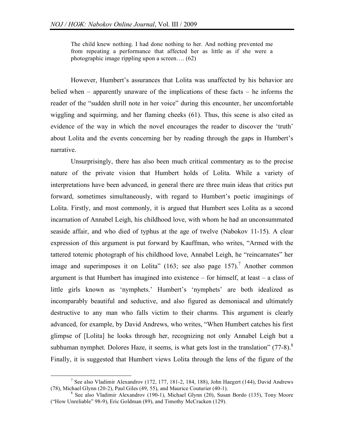The child knew nothing. I had done nothing to her. And nothing prevented me from repeating a performance that affected her as little as if she were a photographic image rippling upon a screen…. (62)

However, Humbert's assurances that Lolita was unaffected by his behavior are belied when – apparently unaware of the implications of these facts – he informs the reader of the "sudden shrill note in her voice" during this encounter, her uncomfortable wiggling and squirming, and her flaming cheeks (61). Thus, this scene is also cited as evidence of the way in which the novel encourages the reader to discover the 'truth' about Lolita and the events concerning her by reading through the gaps in Humbert's narrative.

Unsurprisingly, there has also been much critical commentary as to the precise nature of the private vision that Humbert holds of Lolita. While a variety of interpretations have been advanced, in general there are three main ideas that critics put forward, sometimes simultaneously, with regard to Humbert's poetic imaginings of Lolita. Firstly, and most commonly, it is argued that Humbert sees Lolita as a second incarnation of Annabel Leigh, his childhood love, with whom he had an unconsummated seaside affair, and who died of typhus at the age of twelve (Nabokov 11-15). A clear expression of this argument is put forward by Kauffman, who writes, "Armed with the tattered totemic photograph of his childhood love, Annabel Leigh, he "reincarnates" her image and superimposes it on Lolita" (163; see also page 157).<sup>7</sup> Another common argument is that Humbert has imagined into existence – for himself, at least – a class of little girls known as 'nymphets.' Humbert's 'nymphets' are both idealized as incomparably beautiful and seductive, and also figured as demoniacal and ultimately destructive to any man who falls victim to their charms. This argument is clearly advanced, for example, by David Andrews, who writes, "When Humbert catches his first glimpse of [Lolita] he looks through her, recognizing not only Annabel Leigh but a subhuman nymphet. Dolores Haze, it seems, is what gets lost in the translation"  $(77-8)^8$ . Finally, it is suggested that Humbert views Lolita through the lens of the figure of the

<sup>&</sup>lt;sup>7</sup> See also Vladimir Alexandrov (172, 177, 181-2, 184, 188), John Haegert (144), David Andrews (78), Michael Glynn (20-2), Paul Giles (49, 55), and Maurice Couturier (40-1).

 $8$  See also Vladimir Alexandrov (190-1), Michael Glynn (20), Susan Bordo (135), Tony Moore ("How Unreliable" 98-9), Eric Goldman (89), and Timothy McCracken (129).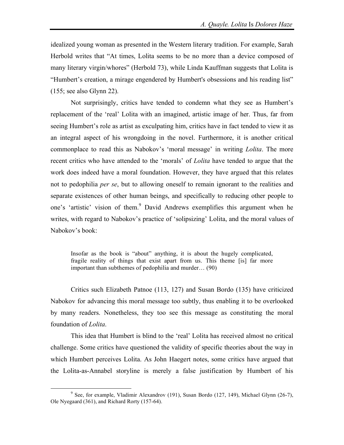idealized young woman as presented in the Western literary tradition. For example, Sarah Herbold writes that "At times, Lolita seems to be no more than a device composed of many literary virgin/whores" (Herbold 73), while Linda Kauffman suggests that Lolita is "Humbert's creation, a mirage engendered by Humbert's obsessions and his reading list" (155; see also Glynn 22).

Not surprisingly, critics have tended to condemn what they see as Humbert's replacement of the 'real' Lolita with an imagined, artistic image of her. Thus, far from seeing Humbert's role as artist as exculpating him, critics have in fact tended to view it as an integral aspect of his wrongdoing in the novel. Furthermore, it is another critical commonplace to read this as Nabokov's 'moral message' in writing *Lolita*. The more recent critics who have attended to the 'morals' of *Lolita* have tended to argue that the work does indeed have a moral foundation. However, they have argued that this relates not to pedophilia *per se*, but to allowing oneself to remain ignorant to the realities and separate existences of other human beings, and specifically to reducing other people to one's 'artistic' vision of them.<sup>9</sup> David Andrews exemplifies this argument when he writes, with regard to Nabokov's practice of 'solipsizing' Lolita, and the moral values of Nabokov's book:

Insofar as the book is "about" anything, it is about the hugely complicated, fragile reality of things that exist apart from us. This theme [is] far more important than subthemes of pedophilia and murder… (90)

Critics such Elizabeth Patnoe (113, 127) and Susan Bordo (135) have criticized Nabokov for advancing this moral message too subtly, thus enabling it to be overlooked by many readers. Nonetheless, they too see this message as constituting the moral foundation of *Lolita*.

This idea that Humbert is blind to the 'real' Lolita has received almost no critical challenge. Some critics have questioned the validity of specific theories about the way in which Humbert perceives Lolita. As John Haegert notes, some critics have argued that the Lolita-as-Annabel storyline is merely a false justification by Humbert of his

 $9^9$  See, for example, Vladimir Alexandrov (191), Susan Bordo (127, 149), Michael Glynn (26-7), Ole Nyegaard (361), and Richard Rorty (157-64).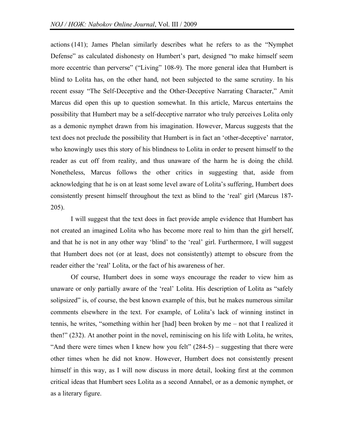actions (141); James Phelan similarly describes what he refers to as the "Nymphet Defense" as calculated dishonesty on Humbert's part, designed "to make himself seem more eccentric than perverse" ("Living" 108-9). The more general idea that Humbert is blind to Lolita has, on the other hand, not been subjected to the same scrutiny. In his recent essay "The Self-Deceptive and the Other-Deceptive Narrating Character," Amit Marcus did open this up to question somewhat. In this article, Marcus entertains the possibility that Humbert may be a self-deceptive narrator who truly perceives Lolita only as a demonic nymphet drawn from his imagination. However, Marcus suggests that the text does not preclude the possibility that Humbert is in fact an 'other-deceptive' narrator, who knowingly uses this story of his blindness to Lolita in order to present himself to the reader as cut off from reality, and thus unaware of the harm he is doing the child. Nonetheless, Marcus follows the other critics in suggesting that, aside from acknowledging that he is on at least some level aware of Lolita's suffering, Humbert does consistently present himself throughout the text as blind to the 'real' girl (Marcus 187- 205).

I will suggest that the text does in fact provide ample evidence that Humbert has not created an imagined Lolita who has become more real to him than the girl herself, and that he is not in any other way 'blind' to the 'real' girl. Furthermore, I will suggest that Humbert does not (or at least, does not consistently) attempt to obscure from the reader either the 'real' Lolita, or the fact of his awareness of her.

Of course, Humbert does in some ways encourage the reader to view him as unaware or only partially aware of the 'real' Lolita. His description of Lolita as "safely solipsized" is, of course, the best known example of this, but he makes numerous similar comments elsewhere in the text. For example, of Lolita's lack of winning instinct in tennis, he writes, "something within her [had] been broken by me – not that I realized it then!" (232). At another point in the novel, reminiscing on his life with Lolita, he writes, "And there were times when I knew how you felt"  $(284-5)$  – suggesting that there were other times when he did not know. However, Humbert does not consistently present himself in this way, as I will now discuss in more detail, looking first at the common critical ideas that Humbert sees Lolita as a second Annabel, or as a demonic nymphet, or as a literary figure.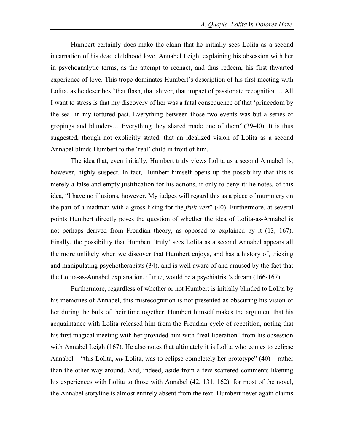Humbert certainly does make the claim that he initially sees Lolita as a second incarnation of his dead childhood love, Annabel Leigh, explaining his obsession with her in psychoanalytic terms, as the attempt to reenact, and thus redeem, his first thwarted experience of love. This trope dominates Humbert's description of his first meeting with Lolita, as he describes "that flash, that shiver, that impact of passionate recognition... All I want to stress is that my discovery of her was a fatal consequence of that 'princedom by the sea' in my tortured past. Everything between those two events was but a series of gropings and blunders… Everything they shared made one of them" (39-40). It is thus suggested, though not explicitly stated, that an idealized vision of Lolita as a second Annabel blinds Humbert to the 'real' child in front of him.

The idea that, even initially, Humbert truly views Lolita as a second Annabel, is, however, highly suspect. In fact, Humbert himself opens up the possibility that this is merely a false and empty justification for his actions, if only to deny it: he notes, of this idea, "I have no illusions, however. My judges will regard this as a piece of mummery on the part of a madman with a gross liking for the *fruit vert*" (40). Furthermore, at several points Humbert directly poses the question of whether the idea of Lolita-as-Annabel is not perhaps derived from Freudian theory, as opposed to explained by it (13, 167). Finally, the possibility that Humbert 'truly' sees Lolita as a second Annabel appears all the more unlikely when we discover that Humbert enjoys, and has a history of, tricking and manipulating psychotherapists (34), and is well aware of and amused by the fact that the Lolita-as-Annabel explanation, if true, would be a psychiatrist's dream (166-167).

Furthermore, regardless of whether or not Humbert is initially blinded to Lolita by his memories of Annabel, this misrecognition is not presented as obscuring his vision of her during the bulk of their time together. Humbert himself makes the argument that his acquaintance with Lolita released him from the Freudian cycle of repetition, noting that his first magical meeting with her provided him with "real liberation" from his obsession with Annabel Leigh (167). He also notes that ultimately it is Lolita who comes to eclipse Annabel – "this Lolita, *my* Lolita, was to eclipse completely her prototype" (40) – rather than the other way around. And, indeed, aside from a few scattered comments likening his experiences with Lolita to those with Annabel (42, 131, 162), for most of the novel, the Annabel storyline is almost entirely absent from the text. Humbert never again claims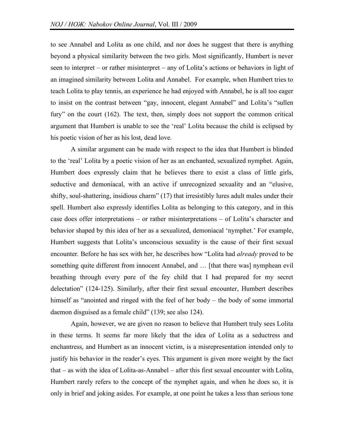to see Annabel and Lolita as one child, and nor does he suggest that there is anything beyond a physical similarity between the two girls. Most significantly, Humbert is never seen to interpret – or rather misinterpret – any of Lolita's actions or behaviors in light of an imagined similarity between Lolita and Annabel. For example, when Humbert tries to teach Lolita to play tennis, an experience he had enjoyed with Annabel, he is all too eager to insist on the contrast between "gay, innocent, elegant Annabel" and Lolita's "sullen fury" on the court (162). The text, then, simply does not support the common critical argument that Humbert is unable to see the 'real' Lolita because the child is eclipsed by his poetic vision of her as his lost, dead love.

A similar argument can be made with respect to the idea that Humbert is blinded to the 'real' Lolita by a poetic vision of her as an enchanted, sexualized nymphet. Again, Humbert does expressly claim that he believes there to exist a class of little girls, seductive and demoniacal, with an active if unrecognized sexuality and an "elusive, shifty, soul-shattering, insidious charm" (17) that irresistibly lures adult males under their spell. Humbert also expressly identifies Lolita as belonging to this category, and in this case does offer interpretations – or rather misinterpretations – of Lolita's character and behavior shaped by this idea of her as a sexualized, demoniacal 'nymphet.' For example, Humbert suggests that Lolita's unconscious sexuality is the cause of their first sexual encounter. Before he has sex with her, he describes how "Lolita had *already* proved to be something quite different from innocent Annabel, and … [that there was] nymphean evil breathing through every pore of the fey child that I had prepared for my secret delectation" (124-125). Similarly, after their first sexual encounter, Humbert describes himself as "anointed and ringed with the feel of her body – the body of some immortal daemon disguised as a female child" (139; see also 124).

Again, however, we are given no reason to believe that Humbert truly sees Lolita in these terms. It seems far more likely that the idea of Lolita as a seductress and enchantress, and Humbert as an innocent victim, is a misrepresentation intended only to justify his behavior in the reader's eyes. This argument is given more weight by the fact that – as with the idea of Lolita-as-Annabel – after this first sexual encounter with Lolita, Humbert rarely refers to the concept of the nymphet again, and when he does so, it is only in brief and joking asides. For example, at one point he takes a less than serious tone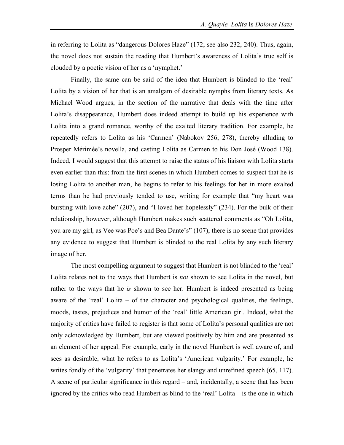in referring to Lolita as "dangerous Dolores Haze" (172; see also 232, 240). Thus, again, the novel does not sustain the reading that Humbert's awareness of Lolita's true self is clouded by a poetic vision of her as a 'nymphet.'

Finally, the same can be said of the idea that Humbert is blinded to the 'real' Lolita by a vision of her that is an amalgam of desirable nymphs from literary texts. As Michael Wood argues, in the section of the narrative that deals with the time after Lolita's disappearance, Humbert does indeed attempt to build up his experience with Lolita into a grand romance, worthy of the exalted literary tradition. For example, he repeatedly refers to Lolita as his 'Carmen' (Nabokov 256, 278), thereby alluding to Prosper Mérimée's novella, and casting Lolita as Carmen to his Don José (Wood 138). Indeed, I would suggest that this attempt to raise the status of his liaison with Lolita starts even earlier than this: from the first scenes in which Humbert comes to suspect that he is losing Lolita to another man, he begins to refer to his feelings for her in more exalted terms than he had previously tended to use, writing for example that "my heart was bursting with love-ache" (207), and "I loved her hopelessly" (234). For the bulk of their relationship, however, although Humbert makes such scattered comments as "Oh Lolita, you are my girl, as Vee was Poe's and Bea Dante's" (107), there is no scene that provides any evidence to suggest that Humbert is blinded to the real Lolita by any such literary image of her.

The most compelling argument to suggest that Humbert is not blinded to the 'real' Lolita relates not to the ways that Humbert is *not* shown to see Lolita in the novel, but rather to the ways that he *is* shown to see her. Humbert is indeed presented as being aware of the 'real' Lolita – of the character and psychological qualities, the feelings, moods, tastes, prejudices and humor of the 'real' little American girl. Indeed, what the majority of critics have failed to register is that some of Lolita's personal qualities are not only acknowledged by Humbert, but are viewed positively by him and are presented as an element of her appeal. For example, early in the novel Humbert is well aware of, and sees as desirable, what he refers to as Lolita's 'American vulgarity.' For example, he writes fondly of the 'vulgarity' that penetrates her slangy and unrefined speech (65, 117). A scene of particular significance in this regard – and, incidentally, a scene that has been ignored by the critics who read Humbert as blind to the 'real' Lolita – is the one in which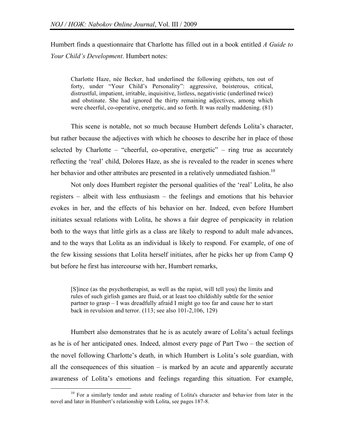Humbert finds a questionnaire that Charlotte has filled out in a book entitled *A Guide to Your Child's Development*. Humbert notes:

Charlotte Haze, née Becker, had underlined the following epithets, ten out of forty, under "Your Child's Personality": aggressive, boisterous, critical, distrustful, impatient, irritable, inquisitive, listless, negativistic (underlined twice) and obstinate. She had ignored the thirty remaining adjectives, among which were cheerful, co-operative, energetic, and so forth. It was really maddening. (81)

This scene is notable, not so much because Humbert defends Lolita's character, but rather because the adjectives with which he chooses to describe her in place of those selected by Charlotte – "cheerful, co-operative, energetic" – ring true as accurately reflecting the 'real' child, Dolores Haze, as she is revealed to the reader in scenes where her behavior and other attributes are presented in a relatively unmediated fashion.<sup>10</sup>

Not only does Humbert register the personal qualities of the 'real' Lolita, he also registers – albeit with less enthusiasm – the feelings and emotions that his behavior evokes in her, and the effects of his behavior on her. Indeed, even before Humbert initiates sexual relations with Lolita, he shows a fair degree of perspicacity in relation both to the ways that little girls as a class are likely to respond to adult male advances, and to the ways that Lolita as an individual is likely to respond. For example, of one of the few kissing sessions that Lolita herself initiates, after he picks her up from Camp Q but before he first has intercourse with her, Humbert remarks,

[S]ince (as the psychotherapist, as well as the rapist, will tell you) the limits and rules of such girlish games are fluid, or at least too childishly subtle for the senior partner to grasp – I was dreadfully afraid I might go too far and cause her to start back in revulsion and terror. (113; see also 101-2,106, 129)

Humbert also demonstrates that he is as acutely aware of Lolita's actual feelings as he is of her anticipated ones. Indeed, almost every page of Part Two – the section of the novel following Charlotte's death, in which Humbert is Lolita's sole guardian, with all the consequences of this situation  $-$  is marked by an acute and apparently accurate awareness of Lolita's emotions and feelings regarding this situation. For example,

<sup>&</sup>lt;sup>10</sup> For a similarly tender and astute reading of Lolita's character and behavior from later in the novel and later in Humbert's relationship with Lolita, see pages 187-8.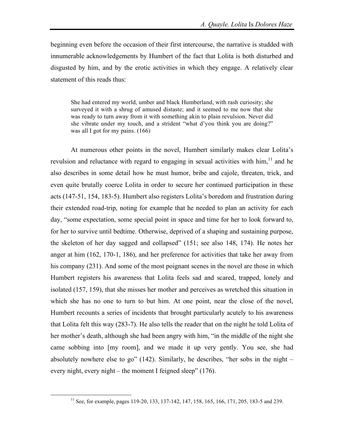beginning even before the occasion of their first intercourse, the narrative is studded with innumerable acknowledgements by Humbert of the fact that Lolita is both disturbed and disgusted by him, and by the erotic activities in which they engage. A relatively clear statement of this reads thus:

She had entered my world, umber and black Humberland, with rash curiosity; she surveyed it with a shrug of amused distaste; and it seemed to me now that she was ready to turn away from it with something akin to plain revulsion. Never did she vibrate under my touch, and a strident "what d'you think you are doing?" was all I got for my pains. (166)

At numerous other points in the novel, Humbert similarly makes clear Lolita's revulsion and reluctance with regard to engaging in sexual activities with  $\lim_{n \to \infty} 1^n$  and he also describes in some detail how he must humor, bribe and cajole, threaten, trick, and even quite brutally coerce Lolita in order to secure her continued participation in these acts (147-51, 154, 183-5). Humbert also registers Lolita's boredom and frustration during their extended road-trip, noting for example that he needed to plan an activity for each day, "some expectation, some special point in space and time for her to look forward to, for her to survive until bedtime. Otherwise, deprived of a shaping and sustaining purpose, the skeleton of her day sagged and collapsed" (151; see also 148, 174). He notes her anger at him (162, 170-1, 186), and her preference for activities that take her away from his company (231). And some of the most poignant scenes in the novel are those in which Humbert registers his awareness that Lolita feels sad and scared, trapped, lonely and isolated (157, 159), that she misses her mother and perceives as wretched this situation in which she has no one to turn to but him. At one point, near the close of the novel, Humbert recounts a series of incidents that brought particularly acutely to his awareness that Lolita felt this way (283-7). He also tells the reader that on the night he told Lolita of her mother's death, although she had been angry with him, "in the middle of the night she came sobbing into [my room], and we made it up very gently. You see, she had absolutely nowhere else to go" (142). Similarly, he describes, "her sobs in the night – every night, every night – the moment I feigned sleep" (176).

<sup>&</sup>lt;sup>11</sup> See, for example, pages 119-20, 133, 137-142, 147, 158, 165, 166, 171, 205, 183-5 and 239.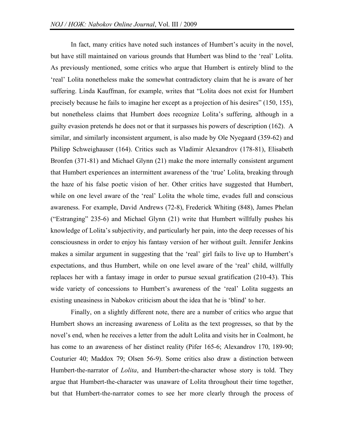In fact, many critics have noted such instances of Humbert's acuity in the novel, but have still maintained on various grounds that Humbert was blind to the 'real' Lolita. As previously mentioned, some critics who argue that Humbert is entirely blind to the 'real' Lolita nonetheless make the somewhat contradictory claim that he is aware of her suffering. Linda Kauffman, for example, writes that "Lolita does not exist for Humbert precisely because he fails to imagine her except as a projection of his desires" (150, 155), but nonetheless claims that Humbert does recognize Lolita's suffering, although in a guilty evasion pretends he does not or that it surpasses his powers of description (162). A similar, and similarly inconsistent argument, is also made by Ole Nyegaard (359-62) and Philipp Schweighauser (164). Critics such as Vladimir Alexandrov (178-81), Elisabeth Bronfen (371-81) and Michael Glynn (21) make the more internally consistent argument that Humbert experiences an intermittent awareness of the 'true' Lolita, breaking through the haze of his false poetic vision of her. Other critics have suggested that Humbert, while on one level aware of the 'real' Lolita the whole time, evades full and conscious awareness. For example, David Andrews (72-8), Frederick Whiting (848), James Phelan ("Estranging" 235-6) and Michael Glynn (21) write that Humbert willfully pushes his knowledge of Lolita's subjectivity, and particularly her pain, into the deep recesses of his consciousness in order to enjoy his fantasy version of her without guilt. Jennifer Jenkins makes a similar argument in suggesting that the 'real' girl fails to live up to Humbert's expectations, and thus Humbert, while on one level aware of the 'real' child, willfully replaces her with a fantasy image in order to pursue sexual gratification (210-43). This wide variety of concessions to Humbert's awareness of the 'real' Lolita suggests an existing uneasiness in Nabokov criticism about the idea that he is 'blind' to her.

Finally, on a slightly different note, there are a number of critics who argue that Humbert shows an increasing awareness of Lolita as the text progresses, so that by the novel's end, when he receives a letter from the adult Lolita and visits her in Coalmont, he has come to an awareness of her distinct reality (Pifer 165-6; Alexandrov 170, 189-90; Couturier 40; Maddox 79; Olsen 56-9). Some critics also draw a distinction between Humbert-the-narrator of *Lolita*, and Humbert-the-character whose story is told. They argue that Humbert-the-character was unaware of Lolita throughout their time together, but that Humbert-the-narrator comes to see her more clearly through the process of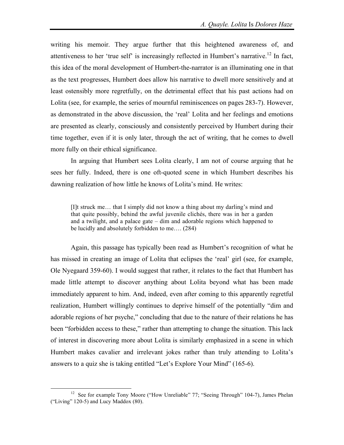writing his memoir. They argue further that this heightened awareness of, and attentiveness to her 'true self' is increasingly reflected in Humbert's narrative.<sup>12</sup> In fact, this idea of the moral development of Humbert-the-narrator is an illuminating one in that as the text progresses, Humbert does allow his narrative to dwell more sensitively and at least ostensibly more regretfully, on the detrimental effect that his past actions had on Lolita (see, for example, the series of mournful reminiscences on pages 283-7). However, as demonstrated in the above discussion, the 'real' Lolita and her feelings and emotions are presented as clearly, consciously and consistently perceived by Humbert during their time together, even if it is only later, through the act of writing, that he comes to dwell more fully on their ethical significance.

In arguing that Humbert sees Lolita clearly, I am not of course arguing that he sees her fully. Indeed, there is one oft-quoted scene in which Humbert describes his dawning realization of how little he knows of Lolita's mind. He writes:

[I]t struck me… that I simply did not know a thing about my darling's mind and that quite possibly, behind the awful juvenile clichés, there was in her a garden and a twilight, and a palace gate – dim and adorable regions which happened to be lucidly and absolutely forbidden to me…. (284)

Again, this passage has typically been read as Humbert's recognition of what he has missed in creating an image of Lolita that eclipses the 'real' girl (see, for example, Ole Nyegaard 359-60). I would suggest that rather, it relates to the fact that Humbert has made little attempt to discover anything about Lolita beyond what has been made immediately apparent to him. And, indeed, even after coming to this apparently regretful realization, Humbert willingly continues to deprive himself of the potentially "dim and adorable regions of her psyche," concluding that due to the nature of their relations he has been "forbidden access to these," rather than attempting to change the situation. This lack of interest in discovering more about Lolita is similarly emphasized in a scene in which Humbert makes cavalier and irrelevant jokes rather than truly attending to Lolita's answers to a quiz she is taking entitled "Let's Explore Your Mind" (165-6).

<sup>&</sup>lt;sup>12</sup> See for example Tony Moore ("How Unreliable" 77; "Seeing Through" 104-7), James Phelan ("Living" 120-5) and Lucy Maddox (80).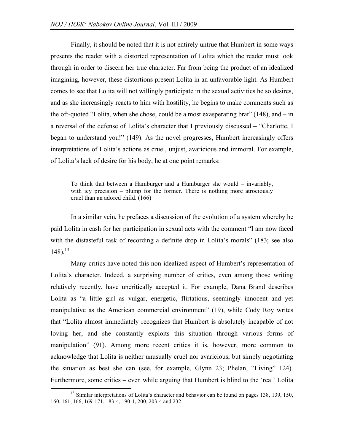Finally, it should be noted that it is not entirely untrue that Humbert in some ways presents the reader with a distorted representation of Lolita which the reader must look through in order to discern her true character. Far from being the product of an idealized imagining, however, these distortions present Lolita in an unfavorable light. As Humbert comes to see that Lolita will not willingly participate in the sexual activities he so desires, and as she increasingly reacts to him with hostility, he begins to make comments such as the oft-quoted "Lolita, when she chose, could be a most exasperating brat" (148), and – in a reversal of the defense of Lolita's character that I previously discussed – "Charlotte, I began to understand you!" (149). As the novel progresses, Humbert increasingly offers interpretations of Lolita's actions as cruel, unjust, avaricious and immoral. For example, of Lolita's lack of desire for his body, he at one point remarks:

To think that between a Hamburger and a Humburger she would – invariably, with icy precision – plump for the former. There is nothing more atrociously cruel than an adored child. (166)

In a similar vein, he prefaces a discussion of the evolution of a system whereby he paid Lolita in cash for her participation in sexual acts with the comment "I am now faced with the distasteful task of recording a definite drop in Lolita's morals" (183; see also 148). 13

Many critics have noted this non-idealized aspect of Humbert's representation of Lolita's character. Indeed, a surprising number of critics, even among those writing relatively recently, have uncritically accepted it. For example, Dana Brand describes Lolita as "a little girl as vulgar, energetic, flirtatious, seemingly innocent and yet manipulative as the American commercial environment" (19), while Cody Roy writes that "Lolita almost immediately recognizes that Humbert is absolutely incapable of not loving her, and she constantly exploits this situation through various forms of manipulation" (91). Among more recent critics it is, however, more common to acknowledge that Lolita is neither unusually cruel nor avaricious, but simply negotiating the situation as best she can (see, for example, Glynn 23; Phelan, "Living" 124). Furthermore, some critics – even while arguing that Humbert is blind to the 'real' Lolita

 $13$  Similar interpretations of Lolita's character and behavior can be found on pages 138, 139, 150, 160, 161, 166, 169-171, 183-4, 190-1, 200, 203-4 and 232.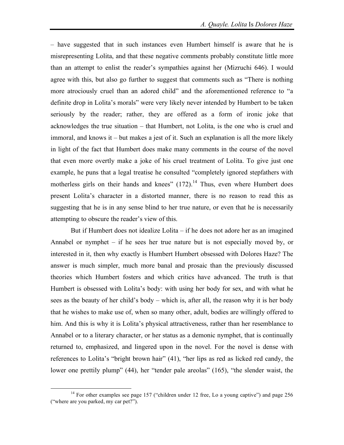– have suggested that in such instances even Humbert himself is aware that he is misrepresenting Lolita, and that these negative comments probably constitute little more than an attempt to enlist the reader's sympathies against her (Mizruchi 646). I would agree with this, but also go further to suggest that comments such as "There is nothing more atrociously cruel than an adored child" and the aforementioned reference to "a definite drop in Lolita's morals" were very likely never intended by Humbert to be taken seriously by the reader; rather, they are offered as a form of ironic joke that acknowledges the true situation – that Humbert, not Lolita, is the one who is cruel and immoral, and knows it – but makes a jest of it. Such an explanation is all the more likely in light of the fact that Humbert does make many comments in the course of the novel that even more overtly make a joke of his cruel treatment of Lolita. To give just one example, he puns that a legal treatise he consulted "completely ignored stepfathers with motherless girls on their hands and knees"  $(172)$ .<sup>14</sup> Thus, even where Humbert does present Lolita's character in a distorted manner, there is no reason to read this as suggesting that he is in any sense blind to her true nature, or even that he is necessarily attempting to obscure the reader's view of this.

But if Humbert does not idealize Lolita – if he does not adore her as an imagined Annabel or nymphet – if he sees her true nature but is not especially moved by, or interested in it, then why exactly is Humbert Humbert obsessed with Dolores Haze? The answer is much simpler, much more banal and prosaic than the previously discussed theories which Humbert fosters and which critics have advanced. The truth is that Humbert is obsessed with Lolita's body: with using her body for sex, and with what he sees as the beauty of her child's body – which is, after all, the reason why it is her body that he wishes to make use of, when so many other, adult, bodies are willingly offered to him. And this is why it is Lolita's physical attractiveness, rather than her resemblance to Annabel or to a literary character, or her status as a demonic nymphet, that is continually returned to, emphasized, and lingered upon in the novel. For the novel is dense with references to Lolita's "bright brown hair" (41), "her lips as red as licked red candy, the lower one prettily plump" (44), her "tender pale areolas" (165), "the slender waist, the

<sup>&</sup>lt;sup>14</sup> For other examples see page 157 ("children under 12 free, Lo a young captive") and page 256 ("where are you parked, my car pet?").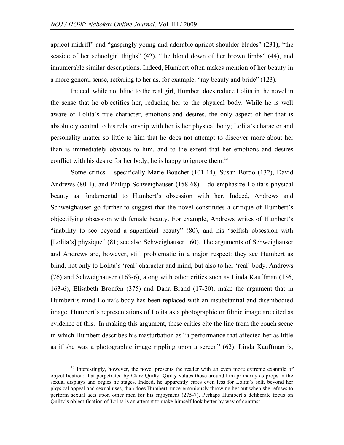apricot midriff" and "gaspingly young and adorable apricot shoulder blades" (231), "the seaside of her schoolgirl thighs" (42), "the blond down of her brown limbs" (44), and innumerable similar descriptions. Indeed, Humbert often makes mention of her beauty in a more general sense, referring to her as, for example, "my beauty and bride" (123).

Indeed, while not blind to the real girl, Humbert does reduce Lolita in the novel in the sense that he objectifies her, reducing her to the physical body. While he is well aware of Lolita's true character, emotions and desires, the only aspect of her that is absolutely central to his relationship with her is her physical body; Lolita's character and personality matter so little to him that he does not attempt to discover more about her than is immediately obvious to him, and to the extent that her emotions and desires conflict with his desire for her body, he is happy to ignore them.<sup>15</sup>

Some critics – specifically Marie Bouchet (101-14), Susan Bordo (132), David Andrews (80-1), and Philipp Schweighauser (158-68) – do emphasize Lolita's physical beauty as fundamental to Humbert's obsession with her. Indeed, Andrews and Schweighauser go further to suggest that the novel constitutes a critique of Humbert's objectifying obsession with female beauty. For example, Andrews writes of Humbert's "inability to see beyond a superficial beauty" (80), and his "selfish obsession with [Lolita's] physique" (81; see also Schweighauser 160). The arguments of Schweighauser and Andrews are, however, still problematic in a major respect: they see Humbert as blind, not only to Lolita's 'real' character and mind, but also to her 'real' body. Andrews (76) and Schweighauser (163-6), along with other critics such as Linda Kauffman (156, 163-6), Elisabeth Bronfen (375) and Dana Brand (17-20), make the argument that in Humbert's mind Lolita's body has been replaced with an insubstantial and disembodied image. Humbert's representations of Lolita as a photographic or filmic image are cited as evidence of this. In making this argument, these critics cite the line from the couch scene in which Humbert describes his masturbation as "a performance that affected her as little as if she was a photographic image rippling upon a screen" (62). Linda Kauffman is,

<sup>&</sup>lt;sup>15</sup> Interestingly, however, the novel presents the reader with an even more extreme example of objectification: that perpetrated by Clare Quilty. Quilty values those around him primarily as props in the sexual displays and orgies he stages. Indeed, he apparently cares even less for Lolita's self, beyond her physical appeal and sexual uses, than does Humbert, unceremoniously throwing her out when she refuses to perform sexual acts upon other men for his enjoyment (275-7). Perhaps Humbert's deliberate focus on Quilty's objectification of Lolita is an attempt to make himself look better by way of contrast.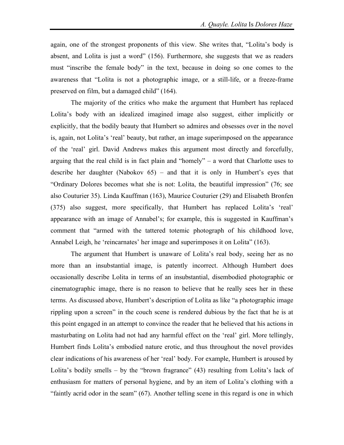again, one of the strongest proponents of this view. She writes that, "Lolita's body is absent, and Lolita is just a word" (156). Furthermore, she suggests that we as readers must "inscribe the female body" in the text, because in doing so one comes to the awareness that "Lolita is not a photographic image, or a still-life, or a freeze-frame preserved on film, but a damaged child" (164).

The majority of the critics who make the argument that Humbert has replaced Lolita's body with an idealized imagined image also suggest, either implicitly or explicitly, that the bodily beauty that Humbert so admires and obsesses over in the novel is, again, not Lolita's 'real' beauty, but rather, an image superimposed on the appearance of the 'real' girl. David Andrews makes this argument most directly and forcefully, arguing that the real child is in fact plain and "homely" – a word that Charlotte uses to describe her daughter (Nabokov 65) – and that it is only in Humbert's eyes that "Ordinary Dolores becomes what she is not: Lolita, the beautiful impression" (76; see also Couturier 35). Linda Kauffman (163), Maurice Couturier (29) and Elisabeth Bronfen (375) also suggest, more specifically, that Humbert has replaced Lolita's 'real' appearance with an image of Annabel's; for example, this is suggested in Kauffman's comment that "armed with the tattered totemic photograph of his childhood love, Annabel Leigh, he 'reincarnates' her image and superimposes it on Lolita" (163).

The argument that Humbert is unaware of Lolita's real body, seeing her as no more than an insubstantial image, is patently incorrect. Although Humbert does occasionally describe Lolita in terms of an insubstantial, disembodied photographic or cinematographic image, there is no reason to believe that he really sees her in these terms. As discussed above, Humbert's description of Lolita as like "a photographic image rippling upon a screen" in the couch scene is rendered dubious by the fact that he is at this point engaged in an attempt to convince the reader that he believed that his actions in masturbating on Lolita had not had any harmful effect on the 'real' girl. More tellingly, Humbert finds Lolita's embodied nature erotic, and thus throughout the novel provides clear indications of his awareness of her 'real' body. For example, Humbert is aroused by Lolita's bodily smells – by the "brown fragrance" (43) resulting from Lolita's lack of enthusiasm for matters of personal hygiene, and by an item of Lolita's clothing with a "faintly acrid odor in the seam" (67). Another telling scene in this regard is one in which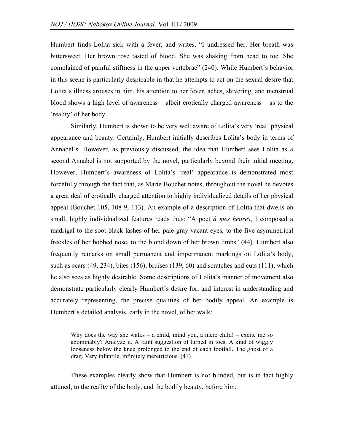Humbert finds Lolita sick with a fever, and writes, "I undressed her. Her breath was bittersweet. Her brown rose tasted of blood. She was shaking from head to toe. She complained of painful stiffness in the upper vertebrae" (240). While Humbert's behavior in this scene is particularly despicable in that he attempts to act on the sexual desire that Lolita's illness arouses in him, his attention to her fever, aches, shivering, and menstrual blood shows a high level of awareness – albeit erotically charged awareness – as to the 'reality' of her body.

Similarly, Humbert is shown to be very well aware of Lolita's very 'real' physical appearance and beauty. Certainly, Humbert initially describes Lolita's body in terms of Annabel's. However, as previously discussed, the idea that Humbert sees Lolita as a second Annabel is not supported by the novel, particularly beyond their initial meeting. However, Humbert's awareness of Lolita's 'real' appearance is demonstrated most forcefully through the fact that, as Marie Bouchet notes, throughout the novel he devotes a great deal of erotically charged attention to highly individualized details of her physical appeal (Bouchet 105, 108-9, 113). An example of a description of Lolita that dwells on small, highly individualized features reads thus: "A poet *à mes heures*, I composed a madrigal to the soot-black lashes of her pale-gray vacant eyes, to the five asymmetrical freckles of her bobbed nose, to the blond down of her brown limbs" (44). Humbert also frequently remarks on small permanent and impermanent markings on Lolita's body, such as scars (49, 234), bites (156), bruises (139, 60) and scratches and cuts (111), which he also sees as highly desirable. Some descriptions of Lolita's manner of movement also demonstrate particularly clearly Humbert's desire for, and interest in understanding and accurately representing, the precise qualities of her bodily appeal. An example is Humbert's detailed analysis, early in the novel, of her walk:

Why does the way she walks – a child, mind you, a mere child! – excite me so abominably? Analyze it. A faint suggestion of turned in toes. A kind of wiggly looseness below the knee prolonged to the end of each footfall. The ghost of a drag. Very infantile, infinitely meretricious. (41)

These examples clearly show that Humbert is not blinded, but is in fact highly attuned, to the reality of the body, and the bodily beauty, before him.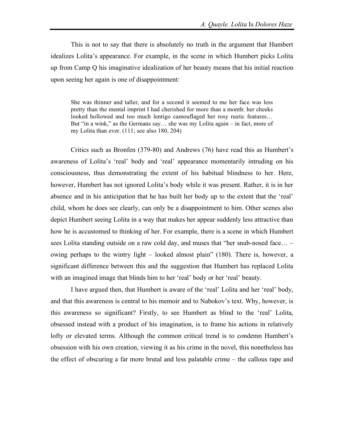This is not to say that there is absolutely no truth in the argument that Humbert idealizes Lolita's appearance. For example, in the scene in which Humbert picks Lolita up from Camp Q his imaginative idealization of her beauty means that his initial reaction upon seeing her again is one of disappointment:

She was thinner and taller, and for a second it seemed to me her face was less pretty than the mental imprint I had cherished for more than a month: her cheeks looked hollowed and too much lentigo camouflaged her rosy rustic features… But "in a wink," as the Germans say… she was my Lolita again – in fact, more of my Lolita than ever. (111; see also 180, 204)

Critics such as Bronfen (379-80) and Andrews (76) have read this as Humbert's awareness of Lolita's 'real' body and 'real' appearance momentarily intruding on his consciousness, thus demonstrating the extent of his habitual blindness to her. Here, however, Humbert has not ignored Lolita's body while it was present. Rather, it is in her absence and in his anticipation that he has built her body up to the extent that the 'real' child, whom he does see clearly, can only be a disappointment to him. Other scenes also depict Humbert seeing Lolita in a way that makes her appear suddenly less attractive than how he is accustomed to thinking of her. For example, there is a scene in which Humbert sees Lolita standing outside on a raw cold day, and muses that "her snub-nosed face… – owing perhaps to the wintry light – looked almost plain" (180). There is, however, a significant difference between this and the suggestion that Humbert has replaced Lolita with an imagined image that blinds him to her 'real' body or her 'real' beauty.

I have argued then, that Humbert is aware of the 'real' Lolita and her 'real' body, and that this awareness is central to his memoir and to Nabokov's text. Why, however, is this awareness so significant? Firstly, to see Humbert as blind to the 'real' Lolita, obsessed instead with a product of his imagination, is to frame his actions in relatively lofty or elevated terms. Although the common critical trend is to condemn Humbert's obsession with his own creation, viewing it as his crime in the novel, this nonetheless has the effect of obscuring a far more brutal and less palatable crime – the callous rape and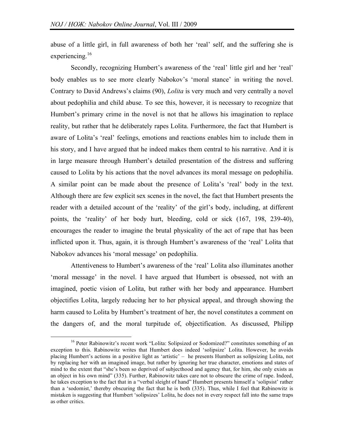abuse of a little girl, in full awareness of both her 'real' self, and the suffering she is experiencing.<sup>16</sup>

Secondly, recognizing Humbert's awareness of the 'real' little girl and her 'real' body enables us to see more clearly Nabokov's 'moral stance' in writing the novel. Contrary to David Andrews's claims (90), *Lolita* is very much and very centrally a novel about pedophilia and child abuse. To see this, however, it is necessary to recognize that Humbert's primary crime in the novel is not that he allows his imagination to replace reality, but rather that he deliberately rapes Lolita. Furthermore, the fact that Humbert is aware of Lolita's 'real' feelings, emotions and reactions enables him to include them in his story, and I have argued that he indeed makes them central to his narrative. And it is in large measure through Humbert's detailed presentation of the distress and suffering caused to Lolita by his actions that the novel advances its moral message on pedophilia. A similar point can be made about the presence of Lolita's 'real' body in the text. Although there are few explicit sex scenes in the novel, the fact that Humbert presents the reader with a detailed account of the 'reality' of the girl's body, including, at different points, the 'reality' of her body hurt, bleeding, cold or sick (167, 198, 239-40), encourages the reader to imagine the brutal physicality of the act of rape that has been inflicted upon it. Thus, again, it is through Humbert's awareness of the 'real' Lolita that Nabokov advances his 'moral message' on pedophilia.

Attentiveness to Humbert's awareness of the 'real' Lolita also illuminates another 'moral message' in the novel. I have argued that Humbert is obsessed, not with an imagined, poetic vision of Lolita, but rather with her body and appearance. Humbert objectifies Lolita, largely reducing her to her physical appeal, and through showing the harm caused to Lolita by Humbert's treatment of her, the novel constitutes a comment on the dangers of, and the moral turpitude of, objectification. As discussed, Philipp

<sup>&</sup>lt;sup>16</sup> Peter Rabinowitz's recent work "Lolita: Solipsized or Sodomized?" constitutes something of an exception to this. Rabinowitz writes that Humbert does indeed 'solipsize' Lolita. However, he avoids placing Humbert's actions in a positive light as 'artistic' – he presents Humbert as solipsizing Lolita, not by replacing her with an imagined image, but rather by ignoring her true character, emotions and states of mind to the extent that "she's been so deprived of subjecthood and agency that, for him, she only exists as an object in his own mind" (335). Further, Rabinowitz takes care not to obscure the crime of rape. Indeed, he takes exception to the fact that in a "verbal sleight of hand" Humbert presents himself a 'solipsist' rather than a 'sodomist,' thereby obscuring the fact that he is both (335). Thus, while I feel that Rabinowitz is mistaken is suggesting that Humbert 'solipsizes' Lolita, he does not in every respect fall into the same traps as other critics.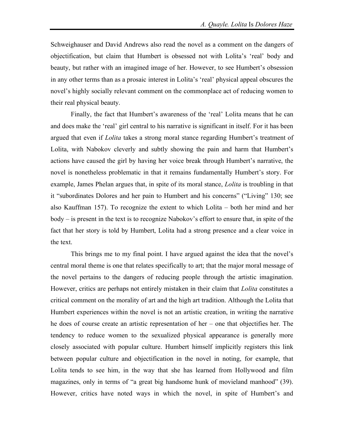Schweighauser and David Andrews also read the novel as a comment on the dangers of objectification, but claim that Humbert is obsessed not with Lolita's 'real' body and beauty, but rather with an imagined image of her. However, to see Humbert's obsession in any other terms than as a prosaic interest in Lolita's 'real' physical appeal obscures the novel's highly socially relevant comment on the commonplace act of reducing women to their real physical beauty.

Finally, the fact that Humbert's awareness of the 'real' Lolita means that he can and does make the 'real' girl central to his narrative is significant in itself. For it has been argued that even if *Lolita* takes a strong moral stance regarding Humbert's treatment of Lolita, with Nabokov cleverly and subtly showing the pain and harm that Humbert's actions have caused the girl by having her voice break through Humbert's narrative, the novel is nonetheless problematic in that it remains fundamentally Humbert's story. For example, James Phelan argues that, in spite of its moral stance, *Lolita* is troubling in that it "subordinates Dolores and her pain to Humbert and his concerns" ("Living" 130; see also Kauffman 157). To recognize the extent to which Lolita – both her mind and her body – is present in the text is to recognize Nabokov's effort to ensure that, in spite of the fact that her story is told by Humbert, Lolita had a strong presence and a clear voice in the text.

This brings me to my final point. I have argued against the idea that the novel's central moral theme is one that relates specifically to art; that the major moral message of the novel pertains to the dangers of reducing people through the artistic imagination. However, critics are perhaps not entirely mistaken in their claim that *Lolita* constitutes a critical comment on the morality of art and the high art tradition. Although the Lolita that Humbert experiences within the novel is not an artistic creation, in writing the narrative he does of course create an artistic representation of her – one that objectifies her. The tendency to reduce women to the sexualized physical appearance is generally more closely associated with popular culture. Humbert himself implicitly registers this link between popular culture and objectification in the novel in noting, for example, that Lolita tends to see him, in the way that she has learned from Hollywood and film magazines, only in terms of "a great big handsome hunk of movieland manhood" (39). However, critics have noted ways in which the novel, in spite of Humbert's and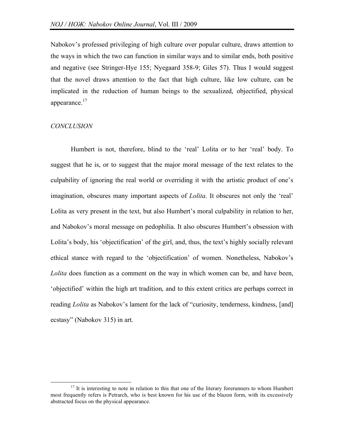Nabokov's professed privileging of high culture over popular culture, draws attention to the ways in which the two can function in similar ways and to similar ends, both positive and negative (see Stringer-Hye 155; Nyegaard 358-9; Giles 57). Thus I would suggest that the novel draws attention to the fact that high culture, like low culture, can be implicated in the reduction of human beings to the sexualized, objectified, physical appearance.<sup>17</sup>

## *CONCLUSION*

Humbert is not, therefore, blind to the 'real' Lolita or to her 'real' body. To suggest that he is, or to suggest that the major moral message of the text relates to the culpability of ignoring the real world or overriding it with the artistic product of one's imagination, obscures many important aspects of *Lolita*. It obscures not only the 'real' Lolita as very present in the text, but also Humbert's moral culpability in relation to her, and Nabokov's moral message on pedophilia. It also obscures Humbert's obsession with Lolita's body, his 'objectification' of the girl, and, thus, the text's highly socially relevant ethical stance with regard to the 'objectification' of women. Nonetheless, Nabokov's *Lolita* does function as a comment on the way in which women can be, and have been, 'objectified' within the high art tradition, and to this extent critics are perhaps correct in reading *Lolita* as Nabokov's lament for the lack of "curiosity, tenderness, kindness, [and] ecstasy" (Nabokov 315) in art.

 $17$  It is interesting to note in relation to this that one of the literary forerunners to whom Humbert most frequently refers is Petrarch, who is best known for his use of the blazon form, with its excessively abstracted focus on the physical appearance.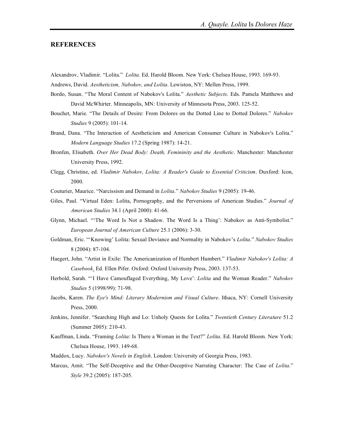## **REFERENCES**

Alexandrov, Vladimir. "Lolita." *Lolita*. Ed. Harold Bloom. New York: Chelsea House, 1993. 169-93.

Andrews, David. *Aestheticism, Nabokov, and Lolita*. Lewiston, NY: Mellen Press, 1999.

- Bordo, Susan. "The Moral Content of Nabokov's Lolita." *Aesthetic Subjects*. Eds. Pamela Matthews and David McWhirter. Minneapolis, MN: University of Minnesota Press, 2003. 125-52.
- Bouchet, Marie. "The Details of Desire: From Dolores on the Dotted Line to Dotted Dolores." *Nabokov Studies* 9 (2005): 101-14.
- Brand, Dana. "The Interaction of Aestheticism and American Consumer Culture in Nabokov's Lolita." *Modern Language Studies* 17.2 (Spring 1987): 14-21.
- Bronfen, Elisabeth. *Over Her Dead Body: Death, Femininity and the Aesthetic*. Manchester: Manchester University Press, 1992.
- Clegg, Christine, ed. *Vladimir Nabokov, Lolita: A Reader's Guide to Essential Criticism*. Duxford: Icon, 2000.
- Couturier, Maurice. "Narcissism and Demand in *Lolita*." *Nabokov Studies* 9 (2005): 19-46.
- Giles, Paul. "Virtual Eden: Lolita, Pornography, and the Perversions of American Studies." *Journal of American Studies* 34.1 (April 2000): 41-66.
- Glynn, Michael. "'The Word Is Not a Shadow. The Word Is a Thing': Nabokov as Anti-Symbolist." *European Journal of American Culture* 25.1 (2006): 3-30.
- Goldman, Eric. "'Knowing' Lolita: Sexual Deviance and Normality in Nabokov's *Lolita*." *Nabokov Studies* 8 (2004): 87-104.
- Haegert, John. "Artist in Exile: The Americanization of Humbert Humbert." *Vladimir Nabokov's Lolita: A Casebook*. Ed. Ellen Pifer. Oxford: Oxford University Press, 2003. 137-53.
- Herbold, Sarah. "'I Have Camouflaged Everything, My Love': *Lolita* and the Woman Reader." *Nabokov Studies* 5 (1998/99): 71-98.
- Jacobs, Karen. *The Eye's Mind: Literary Modernism and Visual Culture*. Ithaca, NY: Cornell University Press, 2000.
- Jenkins, Jennifer. "Searching High and Lo: Unholy Quests for Lolita." *Twentieth Century Literature* 51.2 (Summer 2005): 210-43.
- Kauffman, Linda. "Framing *Lolita*: Is There a Woman in the Text?" *Lolita*. Ed. Harold Bloom. New York: Chelsea House, 1993. 149-68.
- Maddox, Lucy. *Nabokov's Novels in English*. London: University of Georgia Press, 1983.
- Marcus, Amit. "The Self-Deceptive and the Other-Deceptive Narrating Character: The Case of *Lolita*." *Style* 39.2 (2005): 187-205.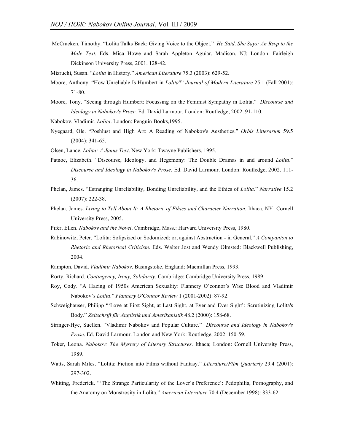McCracken, Timothy. "Lolita Talks Back: Giving Voice to the Object." *He Said, She Says: An Rsvp to the Male Text*. Eds. Mica Howe and Sarah Appleton Aguiar. Madison, NJ; London: Fairleigh Dickinson University Press, 2001. 128-42.

Mizruchi, Susan. "*Lolita* in History." *American Literature* 75.3 (2003): 629-52.

- Moore, Anthony. "How Unreliable Is Humbert in *Lolita*?" *Journal of Modern Literature* 25.1 (Fall 2001): 71-80.
- Moore, Tony. "Seeing through Humbert: Focussing on the Feminist Sympathy in Lolita." *Discourse and Ideology in Nabokov's Prose*. Ed. David Larmour. London: Routledge, 2002. 91-110.
- Nabokov, Vladimir. *Lolita*. London: Penguin Books,1995.
- Nyegaard, Ole. "Poshlust and High Art: A Reading of Nabokov's Aesthetics." *Orbis Litterarum* 59.5 (2004): 341-65.
- Olsen, Lance. *Lolita: A Janus Text*. New York: Twayne Publishers, 1995.
- Patnoe, Elizabeth. "Discourse, Ideology, and Hegemony: The Double Dramas in and around *Lolita*." *Discourse and Ideology in Nabokov's Prose*. Ed. David Larmour. London: Routledge, 2002. 111- 36.
- Phelan, James. "Estranging Unreliability, Bonding Unreliability, and the Ethics of *Lolita*." *Narrative* 15.2 (2007): 222-38.
- Phelan, James. *Living to Tell About It: A Rhetoric of Ethics and Character Narration*. Ithaca, NY: Cornell University Press, 2005.
- Pifer, Ellen. *Nabokov and the Novel*. Cambridge, Mass.: Harvard University Press, 1980.
- Rabinowitz, Peter. "Lolita: Solipsized or Sodomized; or, against Abstraction in General." *A Companion to Rhetoric and Rhetorical Criticism*. Eds. Walter Jost and Wendy Olmsted: Blackwell Publishing, 2004.
- Rampton, David. *Vladimir Nabokov*. Basingstoke, England: Macmillan Press, 1993.
- Rorty, Richard. *Contingency, Irony, Solidarity*. Cambridge: Cambridge University Press, 1989.
- Roy, Cody. "A Hazing of 1950s American Sexuality: Flannery O'connor's Wise Blood and Vladimir Nabokov's *Lolita*." *Flannery O'Connor Review* 1 (2001-2002): 87-92.
- Schweighauser, Philipp "'Love at First Sight, at Last Sight, at Ever and Ever Sight': Scrutinizing Lolita's Body." *Zeitschrift für Anglistik und Amerikanistik* 48.2 (2000): 158-68.
- Stringer-Hye, Suellen. "Vladimir Nabokov and Popular Culture." *Discourse and Ideology in Nabokov's Prose*. Ed. David Larmour. London and New York: Routledge, 2002. 150-59.
- Toker, Leona. *Nabokov: The Mystery of Literary Structures*. Ithaca; London: Cornell University Press, 1989.
- Watts, Sarah Miles. "Lolita: Fiction into Films without Fantasy." *Literature/Film Quarterly* 29.4 (2001): 297-302.
- Whiting, Frederick. "'The Strange Particularity of the Lover's Preference': Pedophilia, Pornography, and the Anatomy on Monstrosity in Lolita." *American Literature* 70.4 (December 1998): 833-62.